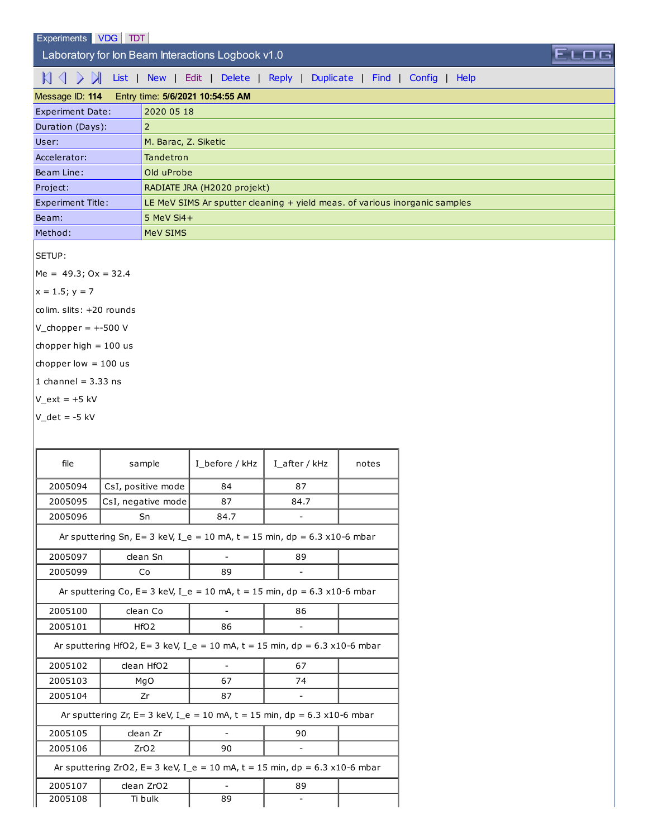## Laboratory for Ion Beam Interactions Logbook v1.0

 $\mathbb{N} \subset \mathbb{N}$  [List](http://sim1.zef.irb.hr:8080/Experiments/?id=114) | [New](http://sim1.zef.irb.hr:8080/Experiments/114?cmd=New) | [Edit](http://sim1.zef.irb.hr:8080/Experiments/114?cmd=Edit) | [Delete](http://sim1.zef.irb.hr:8080/Experiments/114?cmd=Delete) | [Reply](http://sim1.zef.irb.hr:8080/Experiments/114?cmd=Reply) | [Duplicate](http://sim1.zef.irb.hr:8080/Experiments/114?cmd=Duplicate) | [Find](http://sim1.zef.irb.hr:8080/Experiments/114?cmd=Find) | [Config](http://sim1.zef.irb.hr:8080/Experiments/114?cmd=Config) | [Help](http://sim1.zef.irb.hr:8080/Experiments/114?cmd=Help)

| Message ID: 114          | Entry time: 5/6/2021 10:54:55 AM                                           |
|--------------------------|----------------------------------------------------------------------------|
| <b>Experiment Date:</b>  | 2020 05 18                                                                 |
| Duration (Days):         | 2                                                                          |
| User:                    | M. Barac, Z. Siketic                                                       |
| Accelerator:             | Tandetron                                                                  |
| Beam Line:               | Old uProbe                                                                 |
| Project:                 | RADIATE JRA (H2020 projekt)                                                |
| <b>Experiment Title:</b> | LE MeV SIMS Ar sputter cleaning + yield meas. of various inorganic samples |
| Beam:                    | $5$ MeV Si4+                                                               |
| Method:                  | MeV SIMS                                                                   |

ELOG

SETUP:

 $Me = 49.3$ ; Ox = 32.4

 $x = 1.5; y = 7$ 

colim. slits: +20 rounds

- $V_{\text{chopper}} = +500 V$
- chopper high  $= 100$  us
- chopper low  $= 100$  us
- 1 channel =  $3.33$  ns
- $V_{ext}$  = +5 kV
- $V_d$ det = -5 kV

| file    | sample                                                                                | I before / kHz           | I after / kHz            | notes |
|---------|---------------------------------------------------------------------------------------|--------------------------|--------------------------|-------|
| 2005094 | CsI, positive mode                                                                    | 84                       | 87                       |       |
| 2005095 | CsI, negative mode                                                                    | 87                       | 84.7                     |       |
| 2005096 | Sn                                                                                    | 84.7                     | $\overline{\phantom{a}}$ |       |
|         | Ar sputtering Sn, E= 3 keV, I_e = 10 mA, t = 15 min, dp = $6.3 \times 10^{-6}$ mbar   |                          |                          |       |
| 2005097 | clean Sn                                                                              |                          | 89                       |       |
| 2005099 | Co                                                                                    | 89                       |                          |       |
|         | Ar sputtering Co, E= 3 keV, I_e = 10 mA, t = 15 min, dp = 6.3 x10-6 mbar              |                          |                          |       |
| 2005100 | clean Co                                                                              | $\overline{\phantom{a}}$ | 86                       |       |
| 2005101 | HfO2                                                                                  |                          |                          |       |
|         | Ar sputtering HfO2, E= 3 keV, I_e = 10 mA, t = 15 min, dp = $6.3 \times 10^{-6}$ mbar |                          |                          |       |
| 2005102 | clean HfO2                                                                            |                          | 67                       |       |
| 2005103 | MgO                                                                                   | 67                       | 74                       |       |
| 2005104 | Zr<br>87                                                                              |                          |                          |       |
|         | Ar sputtering Zr, E= 3 keV, I e = 10 mA, t = 15 min, dp = $6.3 \times 10^{-6}$ mbar   |                          |                          |       |
| 2005105 | clean Zr                                                                              |                          | 90                       |       |
| 2005106 | ZrO2                                                                                  | 90                       |                          |       |
|         | Ar sputtering ZrO2, E= 3 keV, I e = 10 mA, t = 15 min, dp = 6.3 x10-6 mbar            |                          |                          |       |
| 2005107 | clean ZrO2                                                                            |                          | 89                       |       |
| 2005108 | Ti bulk                                                                               | 89                       |                          |       |